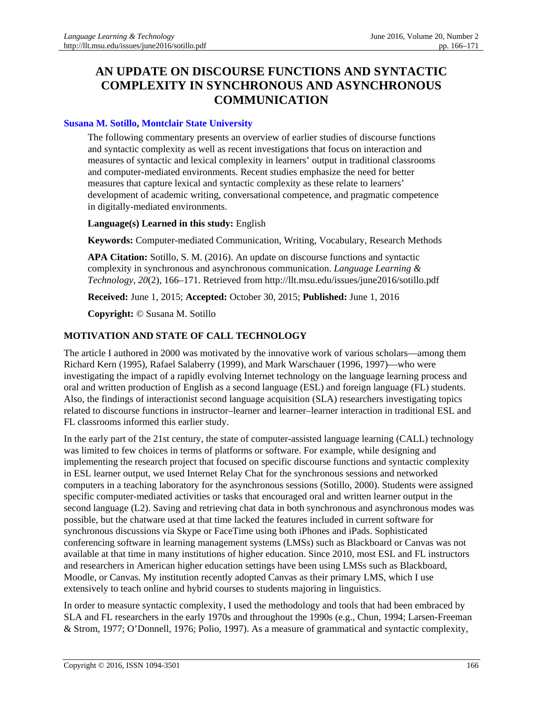# **AN UPDATE ON DISCOURSE FUNCTIONS AND SYNTACTIC COMPLEXITY IN SYNCHRONOUS AND ASYNCHRONOUS COMMUNICATION**

### **[Susana M. Sotillo,](http://www.montclair.edu/profilepages/view_profile.php?username=sotillos) [Montclair State University](http://www.montclair.edu/)**

The following commentary presents an overview of earlier studies of discourse functions and syntactic complexity as well as recent investigations that focus on interaction and measures of syntactic and lexical complexity in learners' output in traditional classrooms and computer-mediated environments. Recent studies emphasize the need for better measures that capture lexical and syntactic complexity as these relate to learners' development of academic writing, conversational competence, and pragmatic competence in digitally-mediated environments.

#### **Language(s) Learned in this study:** English

**Keywords:** Computer-mediated Communication, Writing, Vocabulary, Research Methods

**APA Citation:** Sotillo, S. M. (2016). An update on discourse functions and syntactic complexity in synchronous and asynchronous communication. *Language Learning & Technology*, *20*(2), 166–171. Retrieved from http://llt.msu.edu/issues/june2016/sotillo.pdf

**Received:** June 1, 2015; **Accepted:** October 30, 2015; **Published:** June 1, 2016

**Copyright:** © Susana M. Sotillo

# **MOTIVATION AND STATE OF CALL TECHNOLOGY**

The article I authored in 2000 was motivated by the innovative work of various scholars—among them Richard Kern (1995), Rafael Salaberry (1999), and Mark Warschauer (1996, 1997)—who were investigating the impact of a rapidly evolving Internet technology on the language learning process and oral and written production of English as a second language (ESL) and foreign language (FL) students. Also, the findings of interactionist second language acquisition (SLA) researchers investigating topics related to discourse functions in instructor–learner and learner–learner interaction in traditional ESL and FL classrooms informed this earlier study.

In the early part of the 21st century, the state of computer-assisted language learning (CALL) technology was limited to few choices in terms of platforms or software. For example, while designing and implementing the research project that focused on specific discourse functions and syntactic complexity in ESL learner output, we used Internet Relay Chat for the synchronous sessions and networked computers in a teaching laboratory for the asynchronous sessions (Sotillo, 2000). Students were assigned specific computer-mediated activities or tasks that encouraged oral and written learner output in the second language (L2). Saving and retrieving chat data in both synchronous and asynchronous modes was possible, but the chatware used at that time lacked the features included in current software for synchronous discussions via Skype or FaceTime using both iPhones and iPads. Sophisticated conferencing software in learning management systems (LMSs) such as Blackboard or Canvas was not available at that time in many institutions of higher education. Since 2010, most ESL and FL instructors and researchers in American higher education settings have been using LMSs such as Blackboard, Moodle, or Canvas. My institution recently adopted Canvas as their primary LMS, which I use extensively to teach online and hybrid courses to students majoring in linguistics.

In order to measure syntactic complexity, I used the methodology and tools that had been embraced by SLA and FL researchers in the early 1970s and throughout the 1990s (e.g., Chun, 1994; Larsen-Freeman & Strom, 1977; O'Donnell, 1976; Polio, 1997). As a measure of grammatical and syntactic complexity,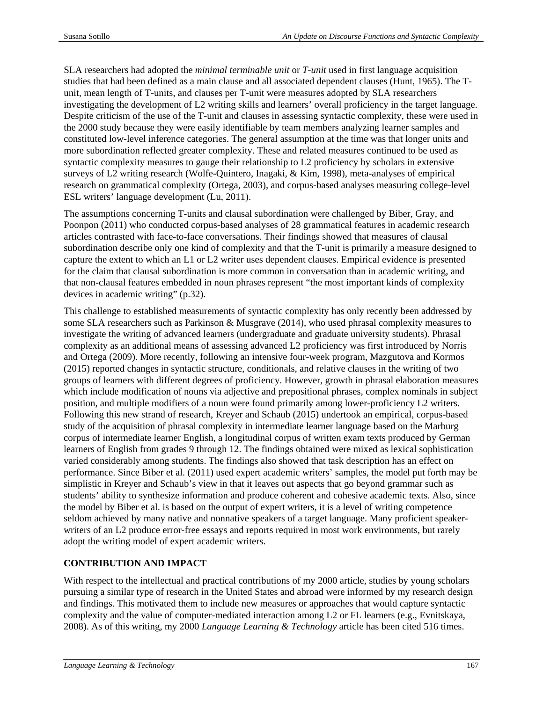SLA researchers had adopted the *minimal terminable unit* or *T-unit* used in first language acquisition studies that had been defined as a main clause and all associated dependent clauses (Hunt, 1965). The Tunit, mean length of T-units, and clauses per T-unit were measures adopted by SLA researchers investigating the development of L2 writing skills and learners' overall proficiency in the target language. Despite criticism of the use of the T-unit and clauses in assessing syntactic complexity, these were used in the 2000 study because they were easily identifiable by team members analyzing learner samples and constituted low-level inference categories. The general assumption at the time was that longer units and more subordination reflected greater complexity. These and related measures continued to be used as syntactic complexity measures to gauge their relationship to L2 proficiency by scholars in extensive surveys of L2 writing research (Wolfe-Quintero, Inagaki, & Kim, 1998), meta-analyses of empirical research on grammatical complexity (Ortega, 2003), and corpus-based analyses measuring college-level ESL writers' language development (Lu, 2011).

The assumptions concerning T-units and clausal subordination were challenged by Biber, Gray, and Poonpon (2011) who conducted corpus-based analyses of 28 grammatical features in academic research articles contrasted with face-to-face conversations. Their findings showed that measures of clausal subordination describe only one kind of complexity and that the T-unit is primarily a measure designed to capture the extent to which an L1 or L2 writer uses dependent clauses. Empirical evidence is presented for the claim that clausal subordination is more common in conversation than in academic writing, and that non-clausal features embedded in noun phrases represent "the most important kinds of complexity devices in academic writing" (p.32).

This challenge to established measurements of syntactic complexity has only recently been addressed by some SLA researchers such as Parkinson & Musgrave (2014), who used phrasal complexity measures to investigate the writing of advanced learners (undergraduate and graduate university students). Phrasal complexity as an additional means of assessing advanced L2 proficiency was first introduced by Norris and Ortega (2009). More recently, following an intensive four-week program, Mazgutova and Kormos (2015) reported changes in syntactic structure, conditionals, and relative clauses in the writing of two groups of learners with different degrees of proficiency. However, growth in phrasal elaboration measures which include modification of nouns via adjective and prepositional phrases, complex nominals in subject position, and multiple modifiers of a noun were found primarily among lower-proficiency L2 writers. Following this new strand of research, Kreyer and Schaub (2015) undertook an empirical, corpus-based study of the acquisition of phrasal complexity in intermediate learner language based on the Marburg corpus of intermediate learner English, a longitudinal corpus of written exam texts produced by German learners of English from grades 9 through 12. The findings obtained were mixed as lexical sophistication varied considerably among students. The findings also showed that task description has an effect on performance. Since Biber et al. (2011) used expert academic writers' samples, the model put forth may be simplistic in Kreyer and Schaub's view in that it leaves out aspects that go beyond grammar such as students' ability to synthesize information and produce coherent and cohesive academic texts. Also, since the model by Biber et al. is based on the output of expert writers, it is a level of writing competence seldom achieved by many native and nonnative speakers of a target language. Many proficient speakerwriters of an L2 produce error-free essays and reports required in most work environments, but rarely adopt the writing model of expert academic writers.

# **CONTRIBUTION AND IMPACT**

With respect to the intellectual and practical contributions of my 2000 article, studies by young scholars pursuing a similar type of research in the United States and abroad were informed by my research design and findings. This motivated them to include new measures or approaches that would capture syntactic complexity and the value of computer-mediated interaction among L2 or FL learners (e.g., Evnitskaya, 2008). As of this writing, my 2000 *Language Learning & Technology* article has been cited 516 times.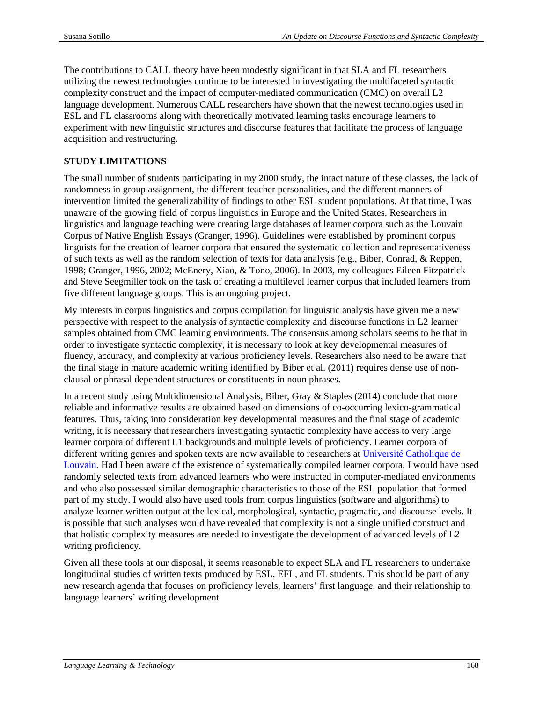The contributions to CALL theory have been modestly significant in that SLA and FL researchers utilizing the newest technologies continue to be interested in investigating the multifaceted syntactic complexity construct and the impact of computer-mediated communication (CMC) on overall L2 language development. Numerous CALL researchers have shown that the newest technologies used in ESL and FL classrooms along with theoretically motivated learning tasks encourage learners to experiment with new linguistic structures and discourse features that facilitate the process of language acquisition and restructuring.

## **STUDY LIMITATIONS**

The small number of students participating in my 2000 study, the intact nature of these classes, the lack of randomness in group assignment, the different teacher personalities, and the different manners of intervention limited the generalizability of findings to other ESL student populations. At that time, I was unaware of the growing field of corpus linguistics in Europe and the United States. Researchers in linguistics and language teaching were creating large databases of learner corpora such as the Louvain Corpus of Native English Essays (Granger, 1996). Guidelines were established by prominent corpus linguists for the creation of learner corpora that ensured the systematic collection and representativeness of such texts as well as the random selection of texts for data analysis (e.g., Biber, Conrad, & Reppen, 1998; Granger, 1996, 2002; McEnery, Xiao, & Tono, 2006). In 2003, my colleagues Eileen Fitzpatrick and Steve Seegmiller took on the task of creating a multilevel learner corpus that included learners from five different language groups. This is an ongoing project.

My interests in corpus linguistics and corpus compilation for linguistic analysis have given me a new perspective with respect to the analysis of syntactic complexity and discourse functions in L2 learner samples obtained from CMC learning environments. The consensus among scholars seems to be that in order to investigate syntactic complexity, it is necessary to look at key developmental measures of fluency, accuracy, and complexity at various proficiency levels. Researchers also need to be aware that the final stage in mature academic writing identified by Biber et al. (2011) requires dense use of nonclausal or phrasal dependent structures or constituents in noun phrases.

In a recent study using Multidimensional Analysis, Biber, Gray & Staples (2014) conclude that more reliable and informative results are obtained based on dimensions of co-occurring lexico-grammatical features. Thus, taking into consideration key developmental measures and the final stage of academic writing, it is necessary that researchers investigating syntactic complexity have access to very large learner corpora of different L1 backgrounds and multiple levels of proficiency. Learner corpora of different writing genres and spoken texts are now available to researchers at Université [Catholique de](http://www.uclouvain.be/en-cecl-lcworld.html)  [Louvain.](http://www.uclouvain.be/en-cecl-lcworld.html) Had I been aware of the existence of systematically compiled learner corpora, I would have used randomly selected texts from advanced learners who were instructed in computer-mediated environments and who also possessed similar demographic characteristics to those of the ESL population that formed part of my study. I would also have used tools from corpus linguistics (software and algorithms) to analyze learner written output at the lexical, morphological, syntactic, pragmatic, and discourse levels. It is possible that such analyses would have revealed that complexity is not a single unified construct and that holistic complexity measures are needed to investigate the development of advanced levels of L2 writing proficiency.

Given all these tools at our disposal, it seems reasonable to expect SLA and FL researchers to undertake longitudinal studies of written texts produced by ESL, EFL, and FL students. This should be part of any new research agenda that focuses on proficiency levels, learners' first language, and their relationship to language learners' writing development.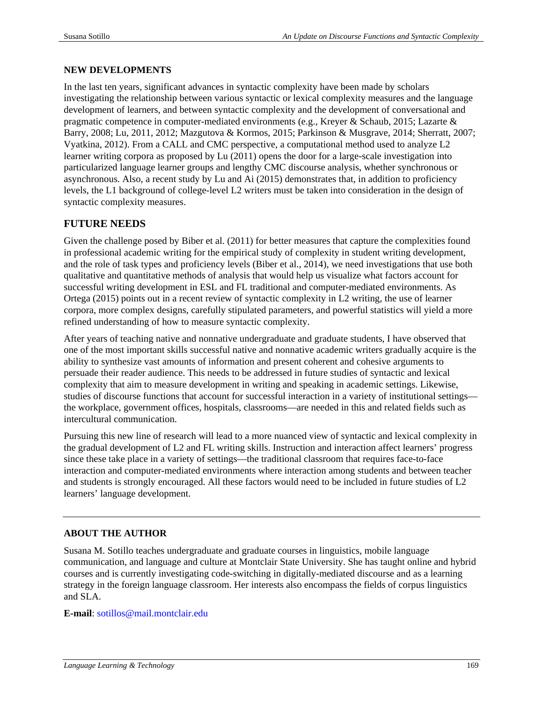#### **NEW DEVELOPMENTS**

In the last ten years, significant advances in syntactic complexity have been made by scholars investigating the relationship between various syntactic or lexical complexity measures and the language development of learners, and between syntactic complexity and the development of conversational and pragmatic competence in computer-mediated environments (e.g., Kreyer & Schaub, 2015; Lazarte & Barry, 2008; Lu, 2011, 2012; Mazgutova & Kormos, 2015; Parkinson & Musgrave, 2014; Sherratt, 2007; Vyatkina, 2012). From a CALL and CMC perspective, a computational method used to analyze L2 learner writing corpora as proposed by Lu (2011) opens the door for a large-scale investigation into particularized language learner groups and lengthy CMC discourse analysis, whether synchronous or asynchronous. Also, a recent study by Lu and Ai (2015) demonstrates that, in addition to proficiency levels, the L1 background of college-level L2 writers must be taken into consideration in the design of syntactic complexity measures.

# **FUTURE NEEDS**

Given the challenge posed by Biber et al. (2011) for better measures that capture the complexities found in professional academic writing for the empirical study of complexity in student writing development, and the role of task types and proficiency levels (Biber et al., 2014), we need investigations that use both qualitative and quantitative methods of analysis that would help us visualize what factors account for successful writing development in ESL and FL traditional and computer-mediated environments. As Ortega (2015) points out in a recent review of syntactic complexity in L2 writing, the use of learner corpora, more complex designs, carefully stipulated parameters, and powerful statistics will yield a more refined understanding of how to measure syntactic complexity.

After years of teaching native and nonnative undergraduate and graduate students, I have observed that one of the most important skills successful native and nonnative academic writers gradually acquire is the ability to synthesize vast amounts of information and present coherent and cohesive arguments to persuade their reader audience. This needs to be addressed in future studies of syntactic and lexical complexity that aim to measure development in writing and speaking in academic settings. Likewise, studies of discourse functions that account for successful interaction in a variety of institutional settings the workplace, government offices, hospitals, classrooms—are needed in this and related fields such as intercultural communication.

Pursuing this new line of research will lead to a more nuanced view of syntactic and lexical complexity in the gradual development of L2 and FL writing skills. Instruction and interaction affect learners' progress since these take place in a variety of settings—the traditional classroom that requires face-to-face interaction and computer-mediated environments where interaction among students and between teacher and students is strongly encouraged. All these factors would need to be included in future studies of L2 learners' language development.

## **ABOUT THE AUTHOR**

Susana M. Sotillo teaches undergraduate and graduate courses in linguistics, mobile language communication, and language and culture at Montclair State University. She has taught online and hybrid courses and is currently investigating code-switching in digitally-mediated discourse and as a learning strategy in the foreign language classroom. Her interests also encompass the fields of corpus linguistics and SLA.

#### **E-mail**: [sotillos@mail.montclair.edu](mailto:sotillos@mail.montclair.edu)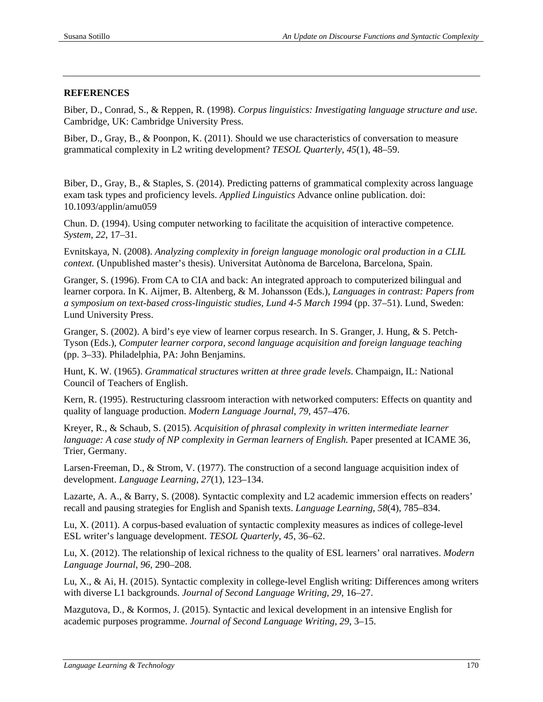#### **REFERENCES**

Biber, D., Conrad, S., & Reppen, R. (1998). *Corpus linguistics: Investigating language structure and use*. Cambridge, UK: Cambridge University Press.

Biber, D., Gray, B., & Poonpon, K. (2011). Should we use characteristics of conversation to measure grammatical complexity in L2 writing development? *TESOL Quarterly*, *45*(1), 48–59.

Biber, D., Gray, B., & Staples, S. (2014). Predicting patterns of grammatical complexity across language exam task types and proficiency levels. *Applied Linguistics* Advance online publication. doi: 10.1093/applin/amu059

Chun. D. (1994). Using computer networking to facilitate the acquisition of interactive competence. *System*, *22*, 17–31.

Evnitskaya, N. (2008). *Analyzing complexity in foreign language monologic oral production in a CLIL context.* (Unpublished master's thesis). Universitat Autònoma de Barcelona, Barcelona, Spain.

Granger, S. (1996). From CA to CIA and back: An integrated approach to computerized bilingual and learner corpora. In K. Aijmer, B. Altenberg, & M. Johansson (Eds.), *Languages in contrast: Papers from a symposium on text-based cross-linguistic studies, Lund 4-5 March 1994* (pp. 37–51). Lund, Sweden: Lund University Press.

Granger, S. (2002). A bird's eye view of learner corpus research. In S. Granger, J. Hung, & S. Petch-Tyson (Eds.), *Computer learner corpora, second language acquisition and foreign language teaching*  (pp. 3–33). Philadelphia, PA: John Benjamins.

Hunt, K. W. (1965). *Grammatical structures written at three grade levels*. Champaign, IL: National Council of Teachers of English.

Kern, R. (1995). Restructuring classroom interaction with networked computers: Effects on quantity and quality of language production. *Modern Language Journal*, *79*, 457–476.

Kreyer, R., & Schaub, S. (2015)*. Acquisition of phrasal complexity in written intermediate learner language: A case study of NP complexity in German learners of English.* Paper presented at ICAME 36, Trier, Germany.

Larsen-Freeman, D., & Strom, V. (1977). The construction of a second language acquisition index of development. *Language Learning*, *27*(1), 123–134.

Lazarte, A. A., & Barry, S. (2008). Syntactic complexity and L2 academic immersion effects on readers' recall and pausing strategies for English and Spanish texts. *Language Learning*, *58*(4), 785–834.

Lu, X. (2011). A corpus-based evaluation of syntactic complexity measures as indices of college-level ESL writer's language development. *TESOL Quarterly*, *45*, 36–62.

Lu, X. (2012). The relationship of lexical richness to the quality of ESL learners' oral narratives. *Modern Language Journal*, *96*, 290–208.

Lu, X., & Ai, H. (2015). Syntactic complexity in college-level English writing: Differences among writers with diverse L1 backgrounds. *Journal of Second Language Writing*, *29*, 16–27.

Mazgutova, D., & Kormos, J. (2015). Syntactic and lexical development in an intensive English for academic purposes programme. *Journal of Second Language Writing*, *29*, 3–15.